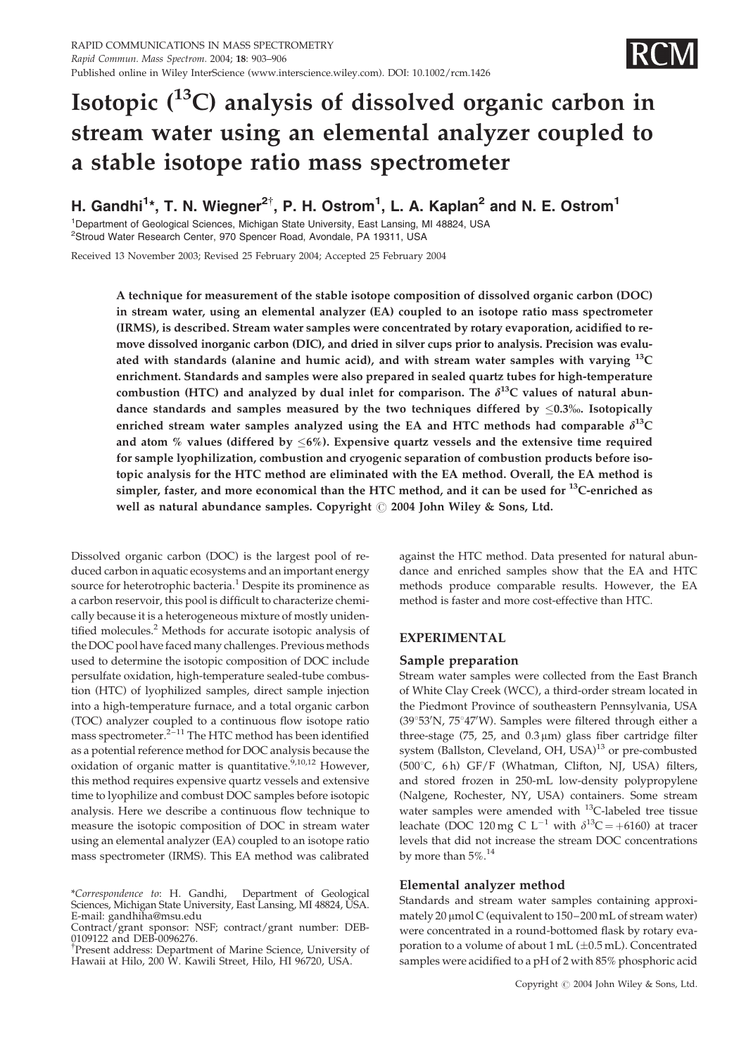

# Isotopic (13C) analysis of dissolved organic carbon in stream water using an elemental analyzer coupled to a stable isotope ratio mass spectrometer

H. Gandhi<sup>1</sup>\*, T. N. Wiegner<sup>2†</sup>, P. H. Ostrom<sup>1</sup>, L. A. Kaplan<sup>2</sup> and N. E. Ostrom<sup>1</sup>

<sup>1</sup>Department of Geological Sciences, Michigan State University, East Lansing, MI 48824, USA

<sup>2</sup>Stroud Water Research Center, 970 Spencer Road, Avondale, PA 19311, USA

Received 13 November 2003; Revised 25 February 2004; Accepted 25 February 2004

A technique for measurement of the stable isotope composition of dissolved organic carbon (DOC) in stream water, using an elemental analyzer (EA) coupled to an isotope ratio mass spectrometer (IRMS), is described. Stream water samples were concentrated by rotary evaporation, acidified to remove dissolved inorganic carbon (DIC), and dried in silver cups prior to analysis. Precision was evaluated with standards (alanine and humic acid), and with stream water samples with varying  $^{13}C$ enrichment. Standards and samples were also prepared in sealed quartz tubes for high-temperature combustion (HTC) and analyzed by dual inlet for comparison. The  $\delta^{13}$ C values of natural abundance standards and samples measured by the two techniques differed by  $\leq 0.3$ %. Isotopically enriched stream water samples analyzed using the EA and HTC methods had comparable  $\delta^{13}C$ and atom % values (differed by  $\leq 6\%$ ). Expensive quartz vessels and the extensive time required for sample lyophilization, combustion and cryogenic separation of combustion products before isotopic analysis for the HTC method are eliminated with the EA method. Overall, the EA method is simpler, faster, and more economical than the HTC method, and it can be used for  $^{13}$ C-enriched as well as natural abundance samples. Copyright  $\odot$  2004 John Wiley & Sons, Ltd.

Dissolved organic carbon (DOC) is the largest pool of reduced carbon in aquatic ecosystems and an important energy source for heterotrophic bacteria.<sup>1</sup> Despite its prominence as a carbon reservoir, this pool is difficult to characterize chemically because it is a heterogeneous mixture of mostly unidentified molecules.<sup>2</sup> Methods for accurate isotopic analysis of the DOC pool have faced many challenges. Previous methods used to determine the isotopic composition of DOC include persulfate oxidation, high-temperature sealed-tube combustion (HTC) of lyophilized samples, direct sample injection into a high-temperature furnace, and a total organic carbon (TOC) analyzer coupled to a continuous flow isotope ratio mass spectrometer. $2^{-11}$  The HTC method has been identified as a potential reference method for DOC analysis because the oxidation of organic matter is quantitative.<sup> $5,10,12$ </sup> However, this method requires expensive quartz vessels and extensive time to lyophilize and combust DOC samples before isotopic analysis. Here we describe a continuous flow technique to measure the isotopic composition of DOC in stream water using an elemental analyzer (EA) coupled to an isotope ratio mass spectrometer (IRMS). This EA method was calibrated

<sup>†</sup>Present address: Department of Marine Science, University of Hawaii at Hilo, 200 W. Kawili Street, Hilo, HI 96720, USA.

against the HTC method. Data presented for natural abundance and enriched samples show that the EA and HTC methods produce comparable results. However, the EA method is faster and more cost-effective than HTC.

# EXPERIMENTAL

## Sample preparation

Stream water samples were collected from the East Branch of White Clay Creek (WCC), a third-order stream located in the Piedmont Province of southeastern Pennsylvania, USA (39°53'N, 75°47'W). Samples were filtered through either a three-stage (75, 25, and  $0.3 \mu m$ ) glass fiber cartridge filter system (Ballston, Cleveland, OH, USA)<sup>13</sup> or pre-combusted (500°C, 6h) GF/F (Whatman, Clifton, NJ, USA) filters, and stored frozen in 250-mL low-density polypropylene (Nalgene, Rochester, NY, USA) containers. Some stream water samples were amended with <sup>13</sup>C-labeled tree tissue leachate (DOC 120 mg C L<sup>-1</sup> with  $\delta^{13}C = +6160$ ) at tracer levels that did not increase the stream DOC concentrations by more than  $5\%$ .<sup>14</sup>

# Elemental analyzer method

Standards and stream water samples containing approximately  $20 \mu$ mol C (equivalent to  $150-200$  mL of stream water) were concentrated in a round-bottomed flask by rotary evaporation to a volume of about  $1 mL (\pm 0.5 mL)$ . Concentrated samples were acidified to a pH of 2 with 85% phosphoric acid

<sup>\*</sup>Correspondence to: H. Gandhi, Department of Geological Sciences, Michigan State University, East Lansing, MI 48824, USA. E-mail: gandhiha@msu.edu

Contract/grant sponsor: NSF; contract/grant number: DEB-0109122 and DEB-0096276.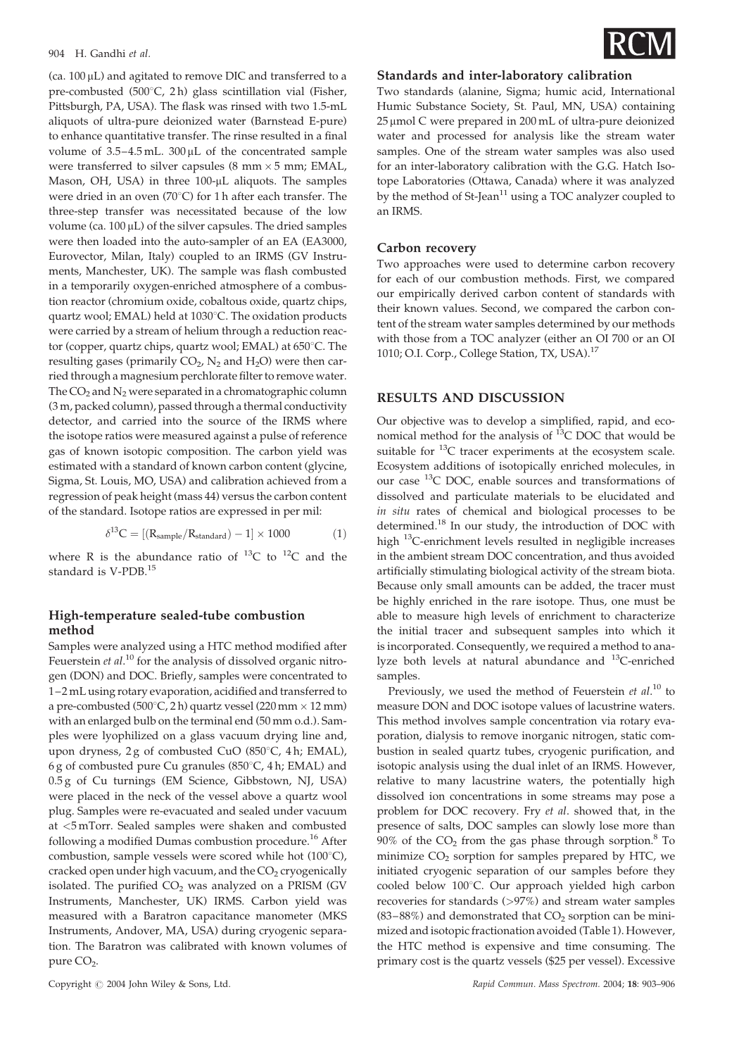#### 904 H. Gandhi et al.

 $(ca. 100 \,\mu L)$  and agitated to remove DIC and transferred to a pre-combusted (500 $^{\circ}$ C, 2h) glass scintillation vial (Fisher, Pittsburgh, PA, USA). The flask was rinsed with two 1.5-mL aliquots of ultra-pure deionized water (Barnstead E-pure) to enhance quantitative transfer. The rinse resulted in a final volume of  $3.5-4.5$  mL.  $300 \mu$ L of the concentrated sample were transferred to silver capsules (8 mm  $\times$  5 mm; EMAL, Mason, OH, USA) in three 100-µL aliquots. The samples were dried in an oven (70 $^{\circ}$ C) for 1 h after each transfer. The three-step transfer was necessitated because of the low volume (ca.  $100 \mu L$ ) of the silver capsules. The dried samples were then loaded into the auto-sampler of an EA (EA3000, Eurovector, Milan, Italy) coupled to an IRMS (GV Instruments, Manchester, UK). The sample was flash combusted in a temporarily oxygen-enriched atmosphere of a combustion reactor (chromium oxide, cobaltous oxide, quartz chips, quartz wool; EMAL) held at 1030°C. The oxidation products were carried by a stream of helium through a reduction reactor (copper, quartz chips, quartz wool; EMAL) at 650°C. The resulting gases (primarily  $CO<sub>2</sub>$ , N<sub>2</sub> and H<sub>2</sub>O) were then carried through a magnesium perchlorate filter to remove water. The  $CO<sub>2</sub>$  and  $N<sub>2</sub>$  were separated in a chromatographic column (3 m, packed column), passed through a thermal conductivity detector, and carried into the source of the IRMS where the isotope ratios were measured against a pulse of reference gas of known isotopic composition. The carbon yield was estimated with a standard of known carbon content (glycine, Sigma, St. Louis, MO, USA) and calibration achieved from a regression of peak height (mass 44) versus the carbon content of the standard. Isotope ratios are expressed in per mil:

$$
\delta^{13}C = [(R_{sample}/R_{standard}) - 1] \times 1000 \tag{1}
$$

where R is the abundance ratio of  $^{13}C$  to  $^{12}C$  and the standard is V-PDB.<sup>15</sup>

## High-temperature sealed-tube combustion method

Samples were analyzed using a HTC method modified after Feuerstein et al.<sup>10</sup> for the analysis of dissolved organic nitrogen (DON) and DOC. Briefly, samples were concentrated to 1–2 mL using rotary evaporation, acidified and transferred to a pre-combusted (500 $^{\circ}$ C, 2 h) quartz vessel (220 mm  $\times$  12 mm) with an enlarged bulb on the terminal end (50 mm o.d.). Samples were lyophilized on a glass vacuum drying line and, upon dryness,  $2g$  of combusted CuO (850 $°C$ , 4h; EMAL), 6 g of combusted pure Cu granules (850 $\degree$ C, 4 h; EMAL) and 0.5 g of Cu turnings (EM Science, Gibbstown, NJ, USA) were placed in the neck of the vessel above a quartz wool plug. Samples were re-evacuated and sealed under vacuum at <5 mTorr. Sealed samples were shaken and combusted following a modified Dumas combustion procedure.<sup>16</sup> After combustion, sample vessels were scored while hot  $(100^{\circ}C)$ , cracked open under high vacuum, and the  $CO<sub>2</sub>$  cryogenically isolated. The purified  $CO<sub>2</sub>$  was analyzed on a PRISM (GV Instruments, Manchester, UK) IRMS. Carbon yield was measured with a Baratron capacitance manometer (MKS Instruments, Andover, MA, USA) during cryogenic separation. The Baratron was calibrated with known volumes of pure CO<sub>2</sub>.



#### Standards and inter-laboratory calibration

Two standards (alanine, Sigma; humic acid, International Humic Substance Society, St. Paul, MN, USA) containing  $25 \mu$ mol C were prepared in  $200 \text{ mL}$  of ultra-pure deionized water and processed for analysis like the stream water samples. One of the stream water samples was also used for an inter-laboratory calibration with the G.G. Hatch Isotope Laboratories (Ottawa, Canada) where it was analyzed by the method of St-Jean<sup>11</sup> using a TOC analyzer coupled to an IRMS.

#### Carbon recovery

Two approaches were used to determine carbon recovery for each of our combustion methods. First, we compared our empirically derived carbon content of standards with their known values. Second, we compared the carbon content of the stream water samples determined by our methods with those from a TOC analyzer (either an OI 700 or an OI 1010; O.I. Corp., College Station, TX, USA).17

## RESULTS AND DISCUSSION

Our objective was to develop a simplified, rapid, and economical method for the analysis of  $^{13}$ C DOC that would be suitable for <sup>13</sup>C tracer experiments at the ecosystem scale. Ecosystem additions of isotopically enriched molecules, in our case 13C DOC, enable sources and transformations of dissolved and particulate materials to be elucidated and in situ rates of chemical and biological processes to be determined.<sup>18</sup> In our study, the introduction of DOC with high 13C-enrichment levels resulted in negligible increases in the ambient stream DOC concentration, and thus avoided artificially stimulating biological activity of the stream biota. Because only small amounts can be added, the tracer must be highly enriched in the rare isotope. Thus, one must be able to measure high levels of enrichment to characterize the initial tracer and subsequent samples into which it is incorporated. Consequently, we required a method to analyze both levels at natural abundance and 13C-enriched samples.

Previously, we used the method of Feuerstein et al.<sup>10</sup> to measure DON and DOC isotope values of lacustrine waters. This method involves sample concentration via rotary evaporation, dialysis to remove inorganic nitrogen, static combustion in sealed quartz tubes, cryogenic purification, and isotopic analysis using the dual inlet of an IRMS. However, relative to many lacustrine waters, the potentially high dissolved ion concentrations in some streams may pose a problem for DOC recovery. Fry et al. showed that, in the presence of salts, DOC samples can slowly lose more than  $90\%$  of the CO<sub>2</sub> from the gas phase through sorption.<sup>8</sup> To minimize  $CO<sub>2</sub>$  sorption for samples prepared by HTC, we initiated cryogenic separation of our samples before they cooled below 100°C. Our approach yielded high carbon recoveries for standards (>97%) and stream water samples  $(83-88%)$  and demonstrated that  $CO<sub>2</sub>$  sorption can be minimized and isotopic fractionation avoided (Table 1). However, the HTC method is expensive and time consuming. The primary cost is the quartz vessels (\$25 per vessel). Excessive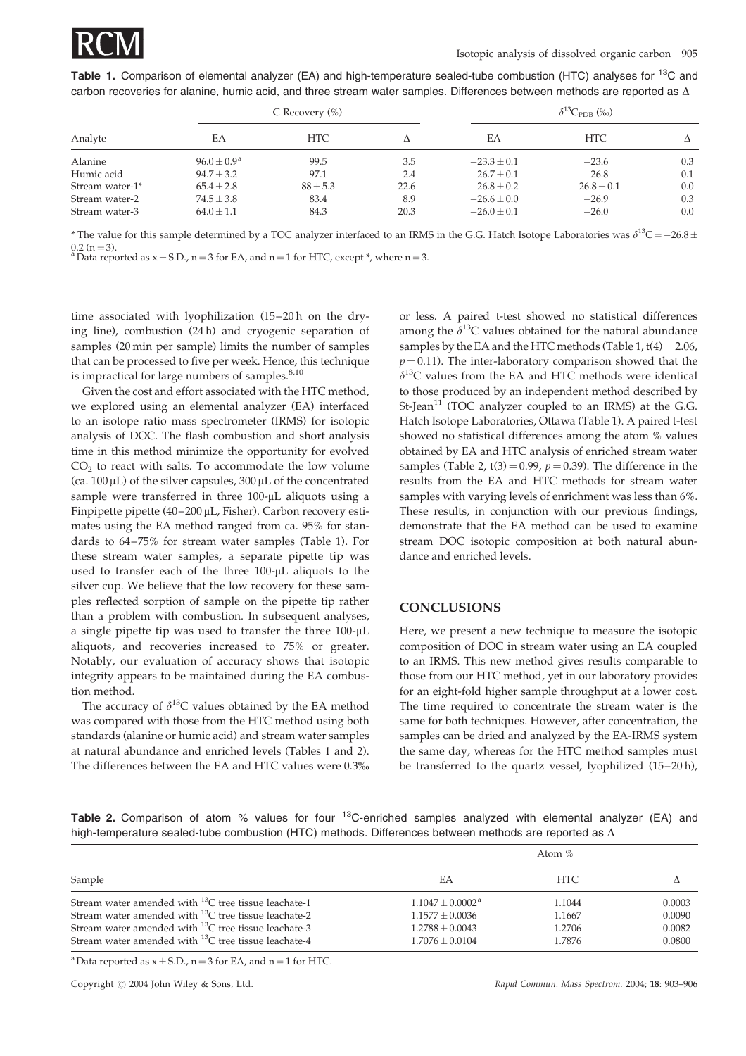

Table 1. Comparison of elemental analyzer (EA) and high-temperature sealed-tube combustion (HTC) analyses for <sup>13</sup>C and carbon recoveries for alanine, humic acid, and three stream water samples. Differences between methods are reported as  $\Delta$ 

| Analyte         | C Recovery $(\%)$ |              |      | $\delta^{13}C_{\rm PDB}$ (%) |                 |     |
|-----------------|-------------------|--------------|------|------------------------------|-----------------|-----|
|                 | ЕA                | <b>HTC</b>   | л    | EA                           | <b>HTC</b>      | л   |
| Alanine         | $96.0 + 0.9a$     | 99.5         | 3.5  | $-23.3 \pm 0.1$              | $-23.6$         | 0.3 |
| Humic acid      | $94.7 + 3.2$      | 97.1         | 2.4  | $-26.7 + 0.1$                | $-26.8$         | 0.1 |
| Stream water-1* | $65.4 \pm 2.8$    | $88 \pm 5.3$ | 22.6 | $-26.8 \pm 0.2$              | $-26.8 \pm 0.1$ | 0.0 |
| Stream water-2  | $74.5 \pm 3.8$    | 83.4         | 8.9  | $-26.6 \pm 0.0$              | $-26.9$         | 0.3 |
| Stream water-3  | $64.0 \pm 1.1$    | 84.3         | 20.3 | $-26.0 \pm 0.1$              | $-26.0$         | 0.0 |

\* The value for this sample determined by a TOC analyzer interfaced to an IRMS in the G.G. Hatch Isotope Laboratories was  $\delta^{13}C = -26.8 \pm$ 0.2 (n = 3).<br><sup>a</sup> Data reported as  $x \pm$  S.D., n = 3 for EA, and n = 1 for HTC, except \*, where n = 3.

time associated with lyophilization (15–20 h on the drying line), combustion (24 h) and cryogenic separation of samples (20 min per sample) limits the number of samples that can be processed to five per week. Hence, this technique is impractical for large numbers of samples. $8,10$ 

Given the cost and effort associated with the HTC method, we explored using an elemental analyzer (EA) interfaced to an isotope ratio mass spectrometer (IRMS) for isotopic analysis of DOC. The flash combustion and short analysis time in this method minimize the opportunity for evolved  $CO<sub>2</sub>$  to react with salts. To accommodate the low volume (ca.  $100 \mu L$ ) of the silver capsules,  $300 \mu L$  of the concentrated sample were transferred in three 100-µL aliquots using a Finpipette pipette (40-200 µL, Fisher). Carbon recovery estimates using the EA method ranged from ca. 95% for standards to 64–75% for stream water samples (Table 1). For these stream water samples, a separate pipette tip was used to transfer each of the three 100-µL aliquots to the silver cup. We believe that the low recovery for these samples reflected sorption of sample on the pipette tip rather than a problem with combustion. In subsequent analyses, a single pipette tip was used to transfer the three 100-µL aliquots, and recoveries increased to 75% or greater. Notably, our evaluation of accuracy shows that isotopic integrity appears to be maintained during the EA combustion method.

The accuracy of  $\delta^{13}$ C values obtained by the EA method was compared with those from the HTC method using both standards (alanine or humic acid) and stream water samples at natural abundance and enriched levels (Tables 1 and 2). The differences between the EA and HTC values were 0.3% or less. A paired t-test showed no statistical differences among the  $\delta^{13}$ C values obtained for the natural abundance samples by the EA and the HTC methods (Table 1,  $t(4) = 2.06$ ,  $p = 0.11$ ). The inter-laboratory comparison showed that the  $\delta^{13}$ C values from the EA and HTC methods were identical to those produced by an independent method described by  $St$ -Jean<sup>11</sup> (TOC analyzer coupled to an IRMS) at the G.G. Hatch Isotope Laboratories, Ottawa (Table 1). A paired t-test showed no statistical differences among the atom % values obtained by EA and HTC analysis of enriched stream water samples (Table 2,  $t(3) = 0.99$ ,  $p = 0.39$ ). The difference in the results from the EA and HTC methods for stream water samples with varying levels of enrichment was less than 6%. These results, in conjunction with our previous findings, demonstrate that the EA method can be used to examine stream DOC isotopic composition at both natural abundance and enriched levels.

#### **CONCLUSIONS**

Here, we present a new technique to measure the isotopic composition of DOC in stream water using an EA coupled to an IRMS. This new method gives results comparable to those from our HTC method, yet in our laboratory provides for an eight-fold higher sample throughput at a lower cost. The time required to concentrate the stream water is the same for both techniques. However, after concentration, the samples can be dried and analyzed by the EA-IRMS system the same day, whereas for the HTC method samples must be transferred to the quartz vessel, lyophilized (15–20 h),

Table 2. Comparison of atom % values for four <sup>13</sup>C-enriched samples analyzed with elemental analyzer (EA) and high-temperature sealed-tube combustion (HTC) methods. Differences between methods are reported as  $\Delta$ 

|                                                                                                                                                                                                                                                            | Atom $%$                                                                                        |                                      |                                      |  |
|------------------------------------------------------------------------------------------------------------------------------------------------------------------------------------------------------------------------------------------------------------|-------------------------------------------------------------------------------------------------|--------------------------------------|--------------------------------------|--|
| Sample                                                                                                                                                                                                                                                     | ЕA                                                                                              | HTC.                                 |                                      |  |
| Stream water amended with <sup>13</sup> C tree tissue leachate-1<br>Stream water amended with $^{13}$ C tree tissue leachate-2<br>Stream water amended with $^{13}$ C tree tissue leachate-3<br>Stream water amended with $^{13}$ C tree tissue leachate-4 | $1.1047 \pm 0.0002^{\text{a}}$<br>$1.1577 \pm 0.0036$<br>$1.2788 + 0.0043$<br>$1.7076 + 0.0104$ | 1.1044<br>1.1667<br>1.2706<br>1.7876 | 0.0003<br>0.0090<br>0.0082<br>0.0800 |  |

<sup>a</sup>Data reported as  $x \pm$  S.D., n = 3 for EA, and n = 1 for HTC.